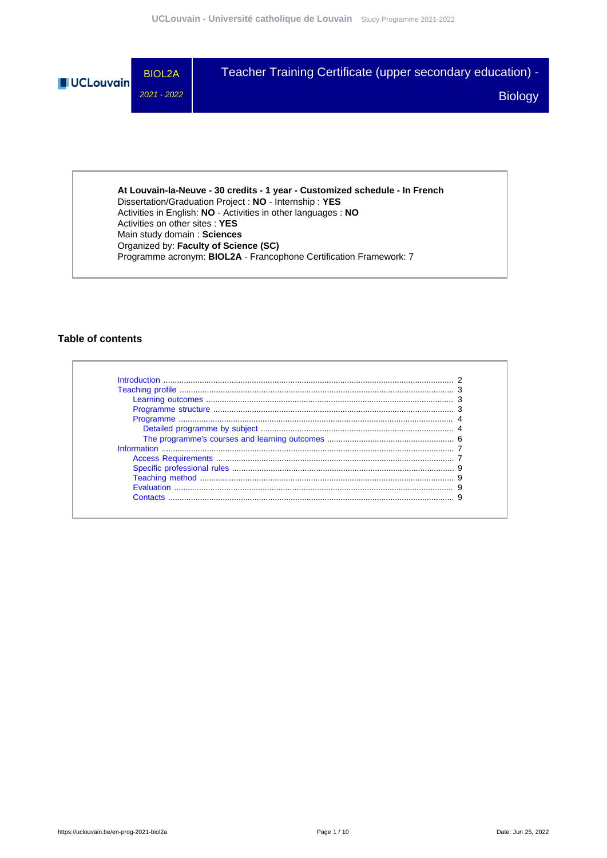

Dissertation/Graduation Project : **NO** - Internship : **YES** Activities in English: **NO** - Activities in other languages : **NO** Activities on other sites : **YES** Main study domain : **Sciences** Organized by: **Faculty of Science (SC)** Programme acronym: **BIOL2A** - Francophone Certification Framework: 7

### **Table of contents**

| Contacts |  |
|----------|--|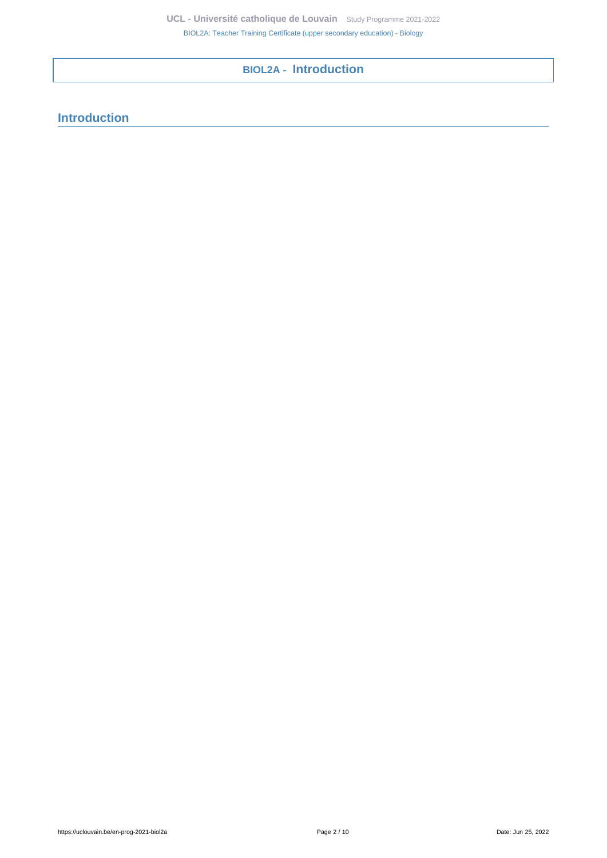# **BIOL2A - Introduction**

# <span id="page-1-0"></span>**Introduction**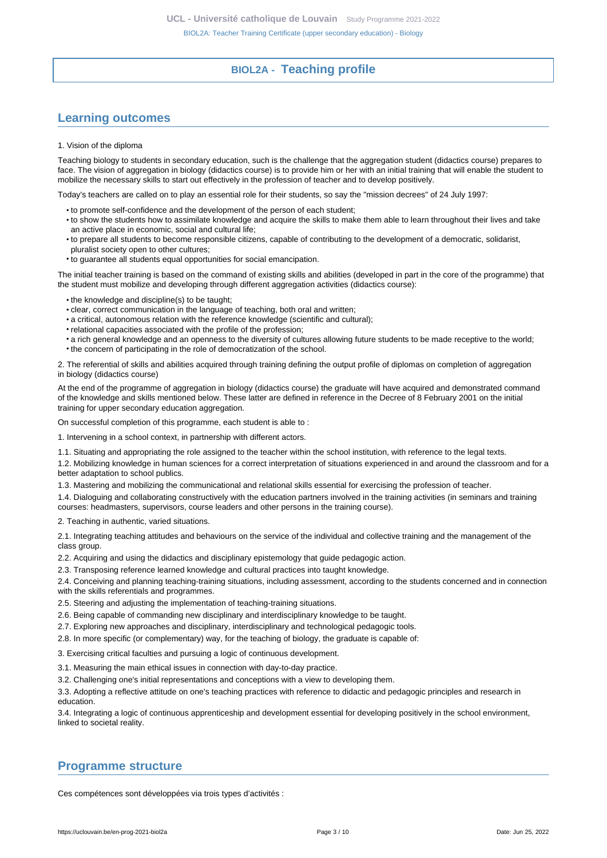## **BIOL2A - Teaching profile**

## <span id="page-2-1"></span><span id="page-2-0"></span>**Learning outcomes**

#### 1. Vision of the diploma

Teaching biology to students in secondary education, such is the challenge that the aggregation student (didactics course) prepares to face. The vision of aggregation in biology (didactics course) is to provide him or her with an initial training that will enable the student to mobilize the necessary skills to start out effectively in the profession of teacher and to develop positively.

Today's teachers are called on to play an essential role for their students, so say the "mission decrees" of 24 July 1997:

- to promote self-confidence and the development of the person of each student;
- to show the students how to assimilate knowledge and acquire the skills to make them able to learn throughout their lives and take an active place in economic, social and cultural life;
- to prepare all students to become responsible citizens, capable of contributing to the development of a democratic, solidarist, pluralist society open to other cultures;
- to guarantee all students equal opportunities for social emancipation.

The initial teacher training is based on the command of existing skills and abilities (developed in part in the core of the programme) that the student must mobilize and developing through different aggregation activities (didactics course):

- the knowledge and discipline(s) to be taught;
- clear, correct communication in the language of teaching, both oral and written;
- a critical, autonomous relation with the reference knowledge (scientific and cultural);
- relational capacities associated with the profile of the profession;
- a rich general knowledge and an openness to the diversity of cultures allowing future students to be made receptive to the world;
- the concern of participating in the role of democratization of the school.

2. The referential of skills and abilities acquired through training defining the output profile of diplomas on completion of aggregation in biology (didactics course)

At the end of the programme of aggregation in biology (didactics course) the graduate will have acquired and demonstrated command of the knowledge and skills mentioned below. These latter are defined in reference in the Decree of 8 February 2001 on the initial training for upper secondary education aggregation.

On successful completion of this programme, each student is able to :

1. Intervening in a school context, in partnership with different actors.

1.1. Situating and appropriating the role assigned to the teacher within the school institution, with reference to the legal texts.

1.2. Mobilizing knowledge in human sciences for a correct interpretation of situations experienced in and around the classroom and for a better adaptation to school publics.

1.3. Mastering and mobilizing the communicational and relational skills essential for exercising the profession of teacher.

1.4. Dialoguing and collaborating constructively with the education partners involved in the training activities (in seminars and training courses: headmasters, supervisors, course leaders and other persons in the training course).

2. Teaching in authentic, varied situations.

2.1. Integrating teaching attitudes and behaviours on the service of the individual and collective training and the management of the class group.

2.2. Acquiring and using the didactics and disciplinary epistemology that guide pedagogic action.

2.3. Transposing reference learned knowledge and cultural practices into taught knowledge.

2.4. Conceiving and planning teaching-training situations, including assessment, according to the students concerned and in connection with the skills referentials and programmes.

2.5. Steering and adjusting the implementation of teaching-training situations.

- 2.6. Being capable of commanding new disciplinary and interdisciplinary knowledge to be taught.
- 2.7. Exploring new approaches and disciplinary, interdisciplinary and technological pedagogic tools.

2.8. In more specific (or complementary) way, for the teaching of biology, the graduate is capable of:

3. Exercising critical faculties and pursuing a logic of continuous development.

3.1. Measuring the main ethical issues in connection with day-to-day practice.

3.2. Challenging one's initial representations and conceptions with a view to developing them.

3.3. Adopting a reflective attitude on one's teaching practices with reference to didactic and pedagogic principles and research in education.

3.4. Integrating a logic of continuous apprenticeship and development essential for developing positively in the school environment, linked to societal reality.

### <span id="page-2-2"></span>**Programme structure**

Ces compétences sont développées via trois types d'activités :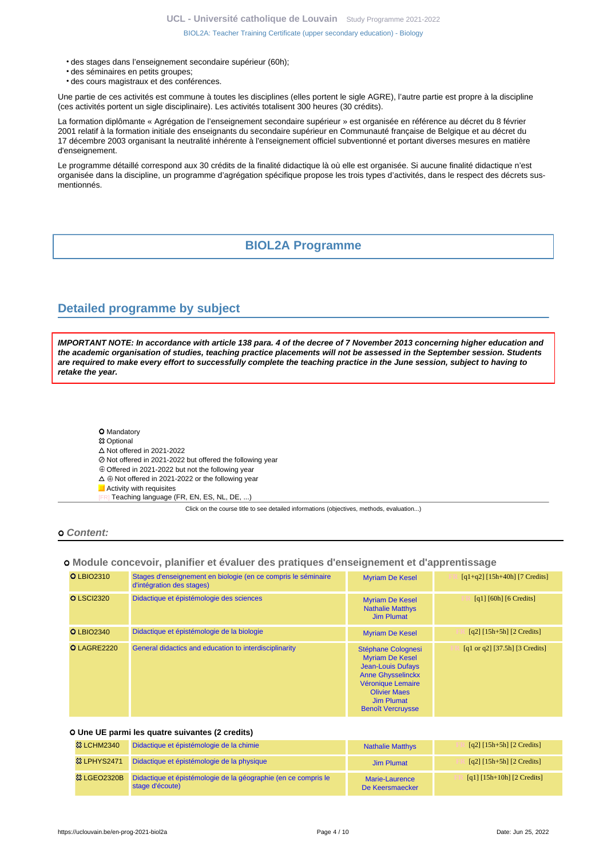- des stages dans l'enseignement secondaire supérieur (60h);
- des séminaires en petits groupes;
- des cours magistraux et des conférences.

Une partie de ces activités est commune à toutes les disciplines (elles portent le sigle AGRE), l'autre partie est propre à la discipline (ces activités portent un sigle disciplinaire). Les activités totalisent 300 heures (30 crédits).

La formation diplômante « Agrégation de l'enseignement secondaire supérieur » est organisée en référence au décret du 8 février 2001 relatif à la formation initiale des enseignants du secondaire supérieur en Communauté française de Belgique et au décret du 17 décembre 2003 organisant la neutralité inhérente à l'enseignement officiel subventionné et portant diverses mesures en matière d'enseignement.

Le programme détaillé correspond aux 30 crédits de la finalité didactique là où elle est organisée. Si aucune finalité didactique n'est organisée dans la discipline, un programme d'agrégation spécifique propose les trois types d'activités, dans le respect des décrets susmentionnés.

### **BIOL2A Programme**

### <span id="page-3-1"></span><span id="page-3-0"></span>**Detailed programme by subject**

**IMPORTANT NOTE: In accordance with article 138 para. 4 of the decree of 7 November 2013 concerning higher education and the academic organisation of studies, teaching practice placements will not be assessed in the September session. Students are required to make every effort to successfully complete the teaching practice in the June session, subject to having to retake the year.**

- **O** Mandatory
- **83 Optional**
- $\triangle$  Not offered in 2021-2022
- Not offered in 2021-2022 but offered the following year
- $\oplus$  Offered in 2021-2022 but not the following year
- $\Delta \oplus$  Not offered in 2021-2022 or the following year
- **Activity with requisites** 
	- Teaching language (FR, EN, ES, NL, DE, ...)

Click on the course title to see detailed informations (objectives, methods, evaluation...)

#### **Content:**

#### **Module concevoir, planifier et évaluer des pratiques d'enseignement et d'apprentissage**

| <b>O LBIO2310</b> | Stages d'enseignement en biologie (en ce compris le séminaire<br>d'intégration des stages) | <b>Myriam De Kesel</b>                                                                                                                                                                     | $[q1+q2]$ [15h+40h] [7 Credits]                                    |
|-------------------|--------------------------------------------------------------------------------------------|--------------------------------------------------------------------------------------------------------------------------------------------------------------------------------------------|--------------------------------------------------------------------|
| <b>O</b> LSCI2320 | Didactique et épistémologie des sciences                                                   | <b>Myriam De Kesel</b><br><b>Nathalie Matthys</b><br>Jim Plumat                                                                                                                            | [q1] $[60h]$ $[6$ Credits]                                         |
| <b>O</b> LBIO2340 | Didactique et épistémologie de la biologie                                                 | <b>Myriam De Kesel</b>                                                                                                                                                                     | $\lceil q2 \rceil \lceil 15h + 5h \rceil \lceil 2 \right]$ Credits |
| O LAGRE2220       | General didactics and education to interdisciplinarity                                     | Stéphane Colognesi<br><b>Myriam De Kesel</b><br><b>Jean-Louis Dufays</b><br><b>Anne Ghysselinckx</b><br>Véronique Lemaire<br><b>Olivier Maes</b><br>Jim Plumat<br><b>Benoît Vercruysse</b> | [q1 or q2] [37.5h] [3 Credits]                                     |

#### **Une UE parmi les quatre suivantes (2 credits)**

| <b>&amp;3 LCHM2340</b> | Didactique et épistémologie de la chimie                                          | <b>Nathalie Matthys</b>           | $\lceil q^2 \rceil \lceil 15h + 5h \rceil \lceil 2 \right]$ Credits |
|------------------------|-----------------------------------------------------------------------------------|-----------------------------------|---------------------------------------------------------------------|
| 83 LPHYS2471           | Didactique et épistémologie de la physique                                        | Jim Plumat                        | [q2] $[15h+5h]$ [2 Credits]                                         |
| <b>&amp; LGEO2320B</b> | Didactique et épistémologie de la géographie (en ce compris le<br>stage d'écoute) | Marie-Laurence<br>De Keersmaecker | [q1] $[15h+10h]$ $[2$ Credits]                                      |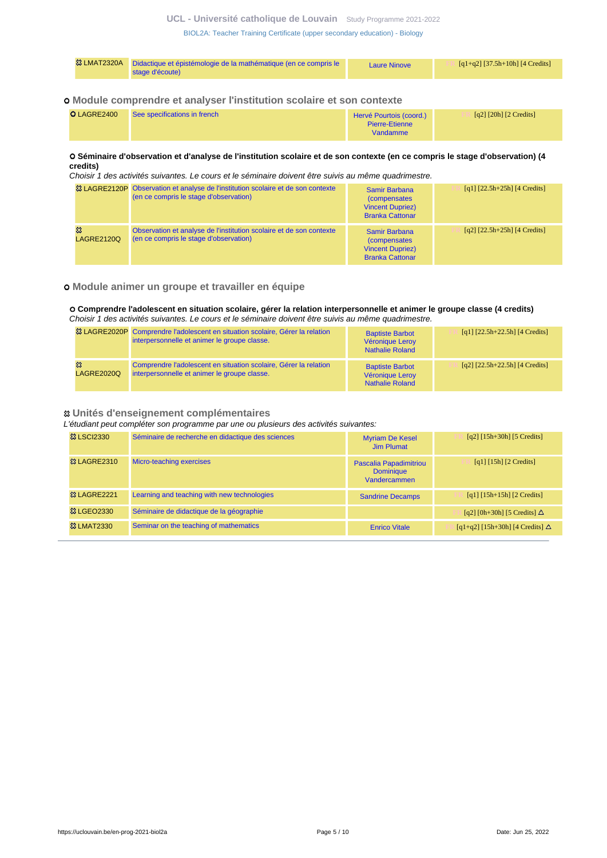**UCL - Université catholique de Louvain** [Study Programme 2021-2022](https://uclouvain.be/en/study-programme)

[BIOL2A: Teacher Training Certificate \(upper secondary education\) - Biology](https://uclouvain.be/en-prog-2021-biol2a.html)

| <b>&amp; LMAT2320A</b> | Didactique et épistémologie de la mathématique (en ce compris le<br>stage d'écoute) | <b>Laure Ninove</b> | $[q1+q2]$ [37.5h+10h] [4 Credits] |
|------------------------|-------------------------------------------------------------------------------------|---------------------|-----------------------------------|
|------------------------|-------------------------------------------------------------------------------------|---------------------|-----------------------------------|

#### **Module comprendre et analyser l'institution scolaire et son contexte**

| O LAGRE2400 | See specifications in french | Hervé Pourtois (coord.) | [q2] $[20h]$ $[2$ Credits] |
|-------------|------------------------------|-------------------------|----------------------------|
|             |                              | Pierre-Etienne          |                            |
|             |                              | Vandamme                |                            |

### **Séminaire d'observation et d'analyse de l'institution scolaire et de son contexte (en ce compris le stage d'observation) (4 credits)**

Choisir 1 des activités suivantes. Le cours et le séminaire doivent être suivis au même quadrimestre.

|                        | <sup>23</sup> LAGRE2120P Observation et analyse de l'institution scolaire et de son contexte<br>(en ce compris le stage d'observation) | Samir Barbana<br><i>(compensates)</i><br><b>Vincent Dupriez)</b><br><b>Branka Cattonar</b>        | [q1] $[22.5h+25h]$ [4 Credits]     |
|------------------------|----------------------------------------------------------------------------------------------------------------------------------------|---------------------------------------------------------------------------------------------------|------------------------------------|
| జ<br><b>LAGRE2120Q</b> | Observation et analyse de l'institution scolaire et de son contexte<br>(en ce compris le stage d'observation)                          | <b>Samir Barbana</b><br><i>(compensates)</i><br><b>Vincent Dupriez)</b><br><b>Branka Cattonar</b> | $[q2]$ $[22.5h+25h]$ $[4$ Credits] |

### **Module animer un groupe et travailler en équipe**

#### **Comprendre l'adolescent en situation scolaire, gérer la relation interpersonnelle et animer le groupe classe (4 credits)** Choisir 1 des activités suivantes. Le cours et le séminaire doivent être suivis au même quadrimestre.

|                 | <sup>23</sup> LAGRE2020P Comprendre l'adolescent en situation scolaire, Gérer la relation<br>interpersonnelle et animer le groupe classe. | <b>Baptiste Barbot</b><br>Véronique Leroy<br><b>Nathalie Roland</b> | [q1] $[22.5h+22.5h]$ [4 Credits] |
|-----------------|-------------------------------------------------------------------------------------------------------------------------------------------|---------------------------------------------------------------------|----------------------------------|
| జ<br>LAGRE2020Q | Comprendre l'adolescent en situation scolaire, Gérer la relation<br>interpersonnelle et animer le groupe classe.                          | <b>Baptiste Barbot</b><br>Véronique Leroy<br><b>Nathalie Roland</b> | [q2] $[22.5h+22.5h]$ [4 Credits] |

#### **Unités d'enseignement complémentaires**

L'étudiant peut compléter son programme par une ou plusieurs des activités suivantes:

| <b>&amp; LSCI2330</b>  | Séminaire de recherche en didactique des sciences | <b>Myriam De Kesel</b><br><b>Jim Plumat</b>                | $[q2]$ [15h+30h] [5 Credits]             |
|------------------------|---------------------------------------------------|------------------------------------------------------------|------------------------------------------|
| <b>&amp; LAGRE2310</b> | Micro-teaching exercises                          | Pascalia Papadimitriou<br><b>Dominique</b><br>Vandercammen | $\lceil q_1 \rceil$ [15h] [2 Credits]    |
| <b>&amp; LAGRE2221</b> | Learning and teaching with new technologies       | <b>Sandrine Decamps</b>                                    | $[q1] [15h+15h] [2 Credits]$             |
| <b>&amp; LGEO2330</b>  | Séminaire de didactique de la géographie          |                                                            | [q2] [0h+30h] [5 Credits] $\Delta$       |
| <b>&amp; LMAT2330</b>  | Seminar on the teaching of mathematics            | <b>Enrico Vitale</b>                                       | $[q1+q2]$ [15h+30h] [4 Credits] $\Delta$ |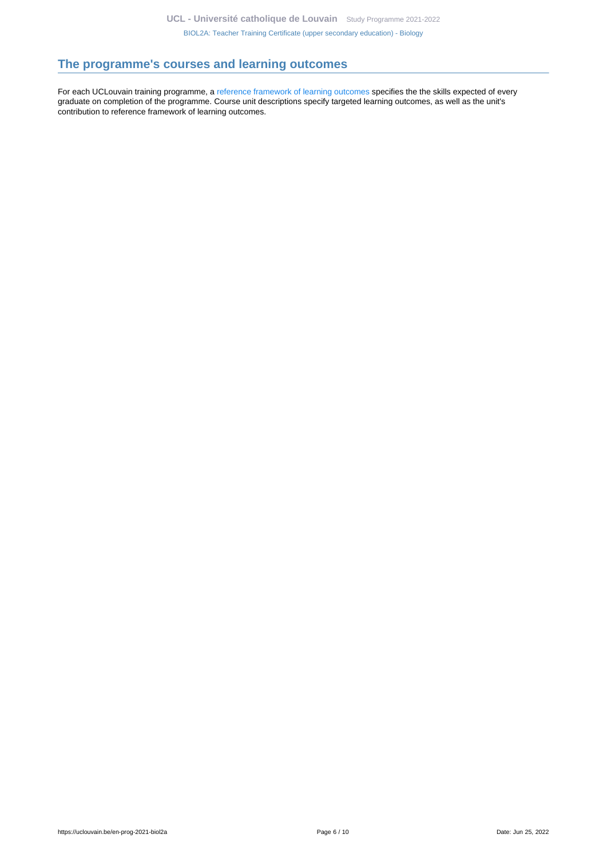# <span id="page-5-0"></span>**The programme's courses and learning outcomes**

For each UCLouvain training programme, a [reference framework of learning outcomes](https://uclouvain.be/en-prog-2021-biol2a-competences_et_acquis.html) specifies the the skills expected of every graduate on completion of the programme. Course unit descriptions specify targeted learning outcomes, as well as the unit's contribution to reference framework of learning outcomes.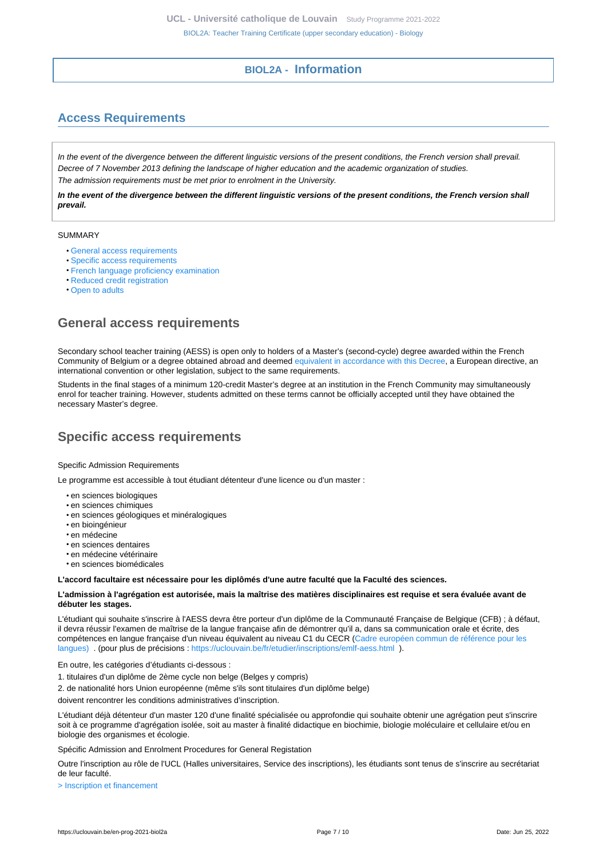### **BIOL2A - Information**

# <span id="page-6-1"></span><span id="page-6-0"></span>**Access Requirements**

In the event of the divergence between the different linguistic versions of the present conditions, the French version shall prevail. Decree of 7 November 2013 defining the landscape of higher education and the academic organization of studies. The admission requirements must be met prior to enrolment in the University.

**In the event of the divergence between the different linguistic versions of the present conditions, the French version shall prevail.**

#### SUMMARY

- [General access requirements](#page-6-2)
- [Specific access requirements](#page-6-3)
- [French language proficiency examination](#page-7-0)
- [Reduced credit registration](#page-7-1)
- [Open to adults](#page-7-2)

### <span id="page-6-2"></span>**General access requirements**

Secondary school teacher training (AESS) is open only to holders of a Master's (second-cycle) degree awarded within the French Community of Belgium or a degree obtained abroad and deemed [equivalent in accordance with this Decree,](http://www.equivalences.cfwb.be/) a European directive, an international convention or other legislation, subject to the same requirements.

Students in the final stages of a minimum 120-credit Master's degree at an institution in the French Community may simultaneously enrol for teacher training. However, students admitted on these terms cannot be officially accepted until they have obtained the necessary Master's degree.

## <span id="page-6-3"></span>**Specific access requirements**

#### Specific Admission Requirements

Le programme est accessible à tout étudiant détenteur d'une licence ou d'un master :

- en sciences biologiques
- en sciences chimiques
- en sciences géologiques et minéralogiques
- en bioingénieur
- en médecine
- en sciences dentaires
- en médecine vétérinaire
- en sciences biomédicales

#### **L'accord facultaire est nécessaire pour les diplômés d'une autre faculté que la Faculté des sciences.**

#### **L'admission à l'agrégation est autorisée, mais la maîtrise des matières disciplinaires est requise et sera évaluée avant de débuter les stages.**

L'étudiant qui souhaite s'inscrire à l'AESS devra être porteur d'un diplôme de la Communauté Française de Belgique (CFB) ; à défaut, il devra réussir l'examen de maîtrise de la langue française afin de démontrer qu'il a, dans sa communication orale et écrite, des compétences en langue française d'un niveau équivalent au niveau C1 du CECR [\(Cadre européen commun de référence pour les](https://cdn.uclouvain.be/reddot/doc/psp/documents/cadrecommun.pdf) [langues\) .](https://cdn.uclouvain.be/reddot/doc/psp/documents/cadrecommun.pdf) (pour plus de précisions : <https://uclouvain.be/fr/etudier/inscriptions/emlf-aess.html>).

En outre, les catégories d'étudiants ci-dessous :

- 1. titulaires d'un diplôme de 2ème cycle non belge (Belges y compris)
- 2. de nationalité hors Union européenne (même s'ils sont titulaires d'un diplôme belge)

doivent rencontrer les conditions administratives d'inscription.

L'étudiant déjà détenteur d'un master 120 d'une finalité spécialisée ou approfondie qui souhaite obtenir une agrégation peut s'inscrire soit à ce programme d'agrégation isolée, soit au master à finalité didactique en biochimie, biologie moléculaire et cellulaire et/ou en biologie des organismes et écologie.

Spécific Admission and Enrolment Procedures for General Registation

Outre l'inscription au rôle de l'UCL (Halles universitaires, Service des inscriptions), les étudiants sont tenus de s'inscrire au secrétariat de leur faculté.

[> Inscription et financement](https://uclouvain.be/inscription.html)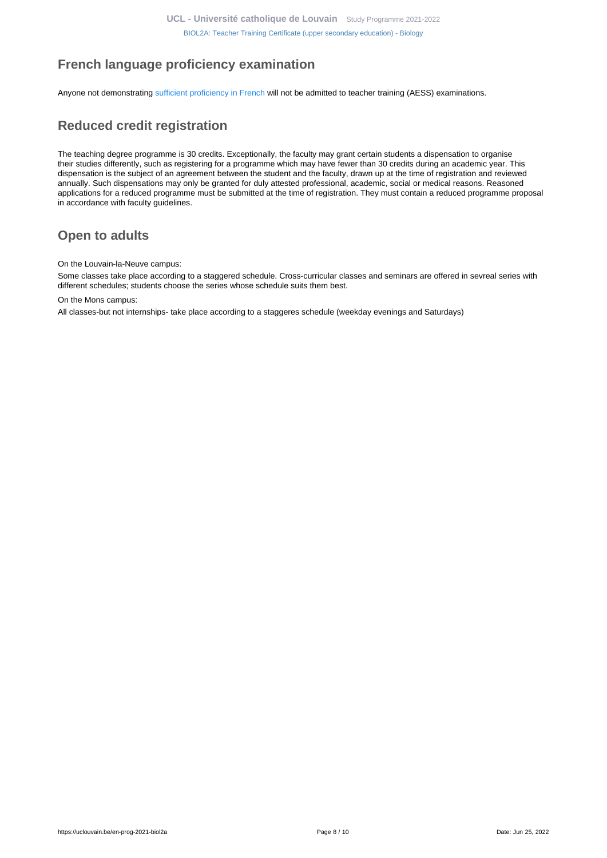# <span id="page-7-0"></span>**French language proficiency examination**

Anyone not demonstrating [sufficient proficiency in French](https://uclouvain.be/en/study/inscriptions/language-requirements.html) will not be admitted to teacher training (AESS) examinations.

# <span id="page-7-1"></span>**Reduced credit registration**

The teaching degree programme is 30 credits. Exceptionally, the faculty may grant certain students a dispensation to organise their studies differently, such as registering for a programme which may have fewer than 30 credits during an academic year. This dispensation is the subject of an agreement between the student and the faculty, drawn up at the time of registration and reviewed annually. Such dispensations may only be granted for duly attested professional, academic, social or medical reasons. Reasoned applications for a reduced programme must be submitted at the time of registration. They must contain a reduced programme proposal in accordance with faculty guidelines.

# <span id="page-7-2"></span>**Open to adults**

On the Louvain-la-Neuve campus:

Some classes take place according to a staggered schedule. Cross-curricular classes and seminars are offered in sevreal series with different schedules; students choose the series whose schedule suits them best.

On the Mons campus:

All classes-but not internships- take place according to a staggeres schedule (weekday evenings and Saturdays)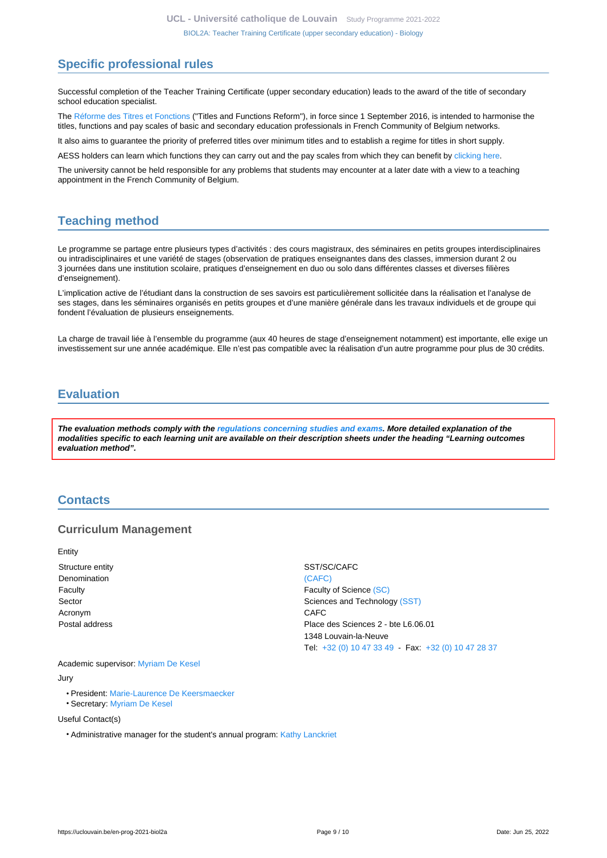## <span id="page-8-0"></span>**Specific professional rules**

Successful completion of the Teacher Training Certificate (upper secondary education) leads to the award of the title of secondary school education specialist.

The [Réforme des Titres et Fonctions](http://www.enseignement.be/primoweb) ("Titles and Functions Reform"), in force since 1 September 2016, is intended to harmonise the titles, functions and pay scales of basic and secondary education professionals in French Community of Belgium networks.

It also aims to guarantee the priority of preferred titles over minimum titles and to establish a regime for titles in short supply.

AESS holders can learn which functions they can carry out and the pay scales from which they can benefit by [clicking here](http://www.enseignement.be/primoweb).

The university cannot be held responsible for any problems that students may encounter at a later date with a view to a teaching appointment in the French Community of Belgium.

## <span id="page-8-1"></span>**Teaching method**

Le programme se partage entre plusieurs types d'activités : des cours magistraux, des séminaires en petits groupes interdisciplinaires ou intradisciplinaires et une variété de stages (observation de pratiques enseignantes dans des classes, immersion durant 2 ou 3 journées dans une institution scolaire, pratiques d'enseignement en duo ou solo dans différentes classes et diverses filières d'enseignement).

L'implication active de l'étudiant dans la construction de ses savoirs est particulièrement sollicitée dans la réalisation et l'analyse de ses stages, dans les séminaires organisés en petits groupes et d'une manière générale dans les travaux individuels et de groupe qui fondent l'évaluation de plusieurs enseignements.

La charge de travail liée à l'ensemble du programme (aux 40 heures de stage d'enseignement notamment) est importante, elle exige un investissement sur une année académique. Elle n'est pas compatible avec la réalisation d'un autre programme pour plus de 30 crédits.

## <span id="page-8-2"></span>**Evaluation**

**The evaluation methods comply with the [regulations concerning studies and exams](https://uclouvain.be/fr/decouvrir/rgee.html). More detailed explanation of the modalities specific to each learning unit are available on their description sheets under the heading "Learning outcomes evaluation method".**

### <span id="page-8-3"></span>**Contacts**

### **Curriculum Management**

**Entity** 

Denomination [\(CAFC\)](https://uclouvain.be/repertoires/entites/cafc) Acronym CAFC

Structure entity Structure entity SST/SC/CAFC Faculty **Faculty Faculty Faculty Faculty Faculty Faculty Faculty Faculty Faculty Faculty Faculty Faculty Faculty Faculty Faculty Faculty Faculty Faculty Faculty Faculty Faculty Fac** Sector Sector Sciences and Technology [\(SST\)](https://uclouvain.be/repertoires/entites/sst) Postal address Place des Sciences 2 - bte L6.06.01 1348 Louvain-la-Neuve Tel: [+32 \(0\) 10 47 33 49](https://uclouvain.be/tel:+3210473349) - Fax: [+32 \(0\) 10 47 28 37](https://uclouvain.be/tel:+3210472837)

Academic supervisor: [Myriam De Kesel](https://uclouvain.be/repertoires/myriam.dekesel) Jury

- President: [Marie-Laurence De Keersmaecker](https://uclouvain.be/repertoires/marie-laurence.dekeersmaecker)
- Secretary: [Myriam De Kesel](https://uclouvain.be/repertoires/myriam.dekesel)

Useful Contact(s)

• Administrative manager for the student's annual program: [Kathy Lanckriet](https://uclouvain.be/repertoires/kathy.lanckriet)